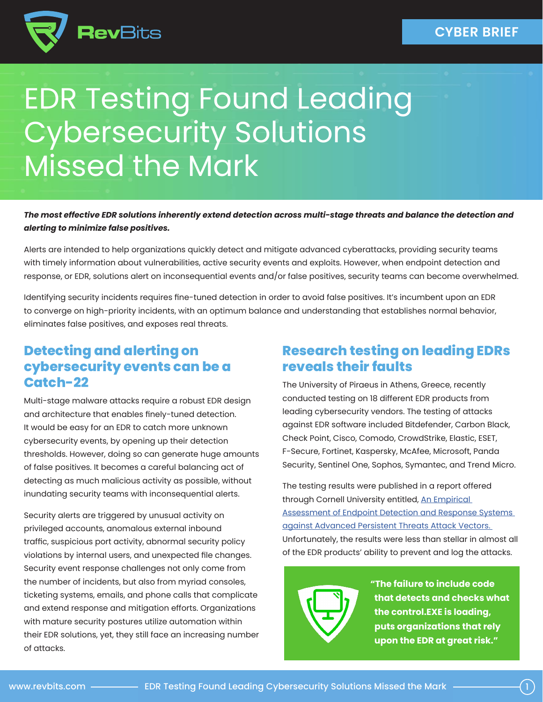

# EDR Testing Found Leading Cybersecurity Solutions Missed the Mark

#### *The most effective EDR solutions inherently extend detection across multi-stage threats and balance the detection and alerting to minimize false positives.*

Alerts are intended to help organizations quickly detect and mitigate advanced cyberattacks, providing security teams with timely information about vulnerabilities, active security events and exploits. However, when endpoint detection and response, or EDR, solutions alert on inconsequential events and/or false positives, security teams can become overwhelmed.

Identifying security incidents requires fine-tuned detection in order to avoid false positives. It's incumbent upon an EDR to converge on high-priority incidents, with an optimum balance and understanding that establishes normal behavior, eliminates false positives, and exposes real threats.

#### **Detecting and alerting on cybersecurity events can be a Catch-22**

Multi-stage malware attacks require a robust EDR design and architecture that enables finely-tuned detection. It would be easy for an EDR to catch more unknown cybersecurity events, by opening up their detection thresholds. However, doing so can generate huge amounts of false positives. It becomes a careful balancing act of detecting as much malicious activity as possible, without inundating security teams with inconsequential alerts.

Security alerts are triggered by unusual activity on privileged accounts, anomalous external inbound traffic, suspicious port activity, abnormal security policy violations by internal users, and unexpected file changes. Security event response challenges not only come from the number of incidents, but also from myriad consoles, ticketing systems, emails, and phone calls that complicate and extend response and mitigation efforts. Organizations with mature security postures utilize automation within their EDR solutions, yet, they still face an increasing number of attacks.

### **Research testing on leading EDRs reveals their faults**

The University of Piraeus in Athens, Greece, recently conducted testing on 18 different EDR products from leading cybersecurity vendors. The testing of attacks against EDR software included Bitdefender, Carbon Black, Check Point, Cisco, Comodo, CrowdStrike, Elastic, ESET, F-Secure, Fortinet, Kaspersky, McAfee, Microsoft, Panda Security, Sentinel One, Sophos, Symantec, and Trend Micro.

The testing results were published in a report offered through Cornell University entitled, An Empirical [Assessment of Endpoint Detection and Response Systems](https://arxiv.org/abs/2108.10422)  [against Advanced Persistent Threats Attack Vectors.](https://arxiv.org/abs/2108.10422)  Unfortunately, the results were less than stellar in almost all of the EDR products' ability to prevent and log the attacks.



**"The failure to include code that detects and checks what the control.EXE is loading, puts organizations that rely upon the EDR at great risk."**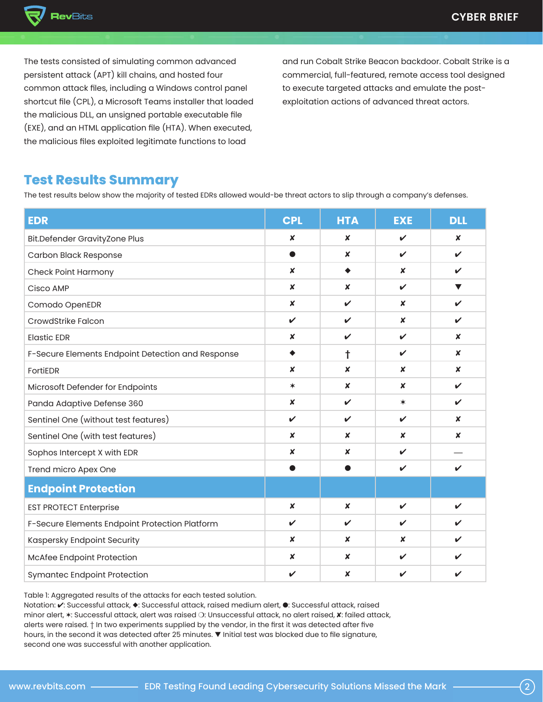

The tests consisted of simulating common advanced persistent attack (APT) kill chains, and hosted four common attack files, including a Windows control panel shortcut file (CPL), a Microsoft Teams installer that loaded the malicious DLL, an unsigned portable executable file (EXE), and an HTML application file (HTA). When executed, the malicious files exploited legitimate functions to load

and run Cobalt Strike Beacon backdoor. Cobalt Strike is a commercial, full-featured, remote access tool designed to execute targeted attacks and emulate the postexploitation actions of advanced threat actors.

#### **Test Results Summary**

The test results below show the majority of tested EDRs allowed would-be threat actors to slip through a company's defenses.

| <b>EDR</b>                                        | <b>CPL</b>       | <b>HTA</b>       | <b>EXE</b>       | <b>DLL</b>       |
|---------------------------------------------------|------------------|------------------|------------------|------------------|
| <b>Bit.Defender GravityZone Plus</b>              | $\boldsymbol{x}$ | $\boldsymbol{x}$ | ✓                | $\boldsymbol{x}$ |
| <b>Carbon Black Response</b>                      |                  | $\boldsymbol{x}$ | $\checkmark$     | $\checkmark$     |
| <b>Check Point Harmony</b>                        | $\boldsymbol{x}$ | ٠                | $\boldsymbol{x}$ | V                |
| Cisco AMP                                         | $\boldsymbol{x}$ | $\boldsymbol{x}$ | V                | ▼                |
| Comodo OpenEDR                                    | $\boldsymbol{x}$ | V                | $\boldsymbol{x}$ | $\checkmark$     |
| CrowdStrike Falcon                                | $\checkmark$     | V                | $\boldsymbol{x}$ | ✓                |
| <b>Elastic EDR</b>                                | $\boldsymbol{x}$ | V                | $\checkmark$     | x                |
| F-Secure Elements Endpoint Detection and Response | ٠                | t                | V                | $\boldsymbol{x}$ |
| <b>FortiEDR</b>                                   | $\boldsymbol{x}$ | $\boldsymbol{x}$ | $\boldsymbol{x}$ | $\boldsymbol{x}$ |
| Microsoft Defender for Endpoints                  | $\ast$           | $\boldsymbol{x}$ | $\boldsymbol{x}$ | V                |
| Panda Adaptive Defense 360                        | $\boldsymbol{x}$ | V                | $\ast$           | ✓                |
| Sentinel One (without test features)              | $\checkmark$     | V                | $\checkmark$     | X                |
| Sentinel One (with test features)                 | $\boldsymbol{x}$ | $\boldsymbol{x}$ | $\boldsymbol{x}$ | X                |
| Sophos Intercept X with EDR                       | $\boldsymbol{x}$ | $\boldsymbol{x}$ | ✓                |                  |
| Trend micro Apex One                              |                  |                  | $\checkmark$     | $\checkmark$     |
| <b>Endpoint Protection</b>                        |                  |                  |                  |                  |
| <b>EST PROTECT Enterprise</b>                     | $\boldsymbol{x}$ | $\boldsymbol{x}$ | $\mathbf{v}$     | ✓                |
| F-Secure Elements Endpoint Protection Platform    | ✓                | V                | V                | ✔                |
| Kaspersky Endpoint Security                       | $\boldsymbol{x}$ | $\boldsymbol{x}$ | $\boldsymbol{x}$ | ✓                |
| McAfee Endpoint Protection                        | $\boldsymbol{x}$ | $\boldsymbol{x}$ | ✓                | ✓                |
| Symantec Endpoint Protection                      | V                | $\boldsymbol{x}$ | ✔                | ✔                |

Table 1: Aggregated results of the attacks for each tested solution.

Notation: v: Successful attack,  $\blacklozenge$ : Successful attack, raised medium alert,  $\blacklozenge$ : Successful attack, raised minor alert,  $*$ : Successful attack, alert was raised  $\bigcirc$ : Unsuccessful attack, no alert raised,  $\bm{x}$ : failed attack, alerts were raised. † In two experiments supplied by the vendor, in the first it was detected after five hours, in the second it was detected after 25 minutes.  $\blacktriangledown$  Initial test was blocked due to file signature, second one was successful with another application.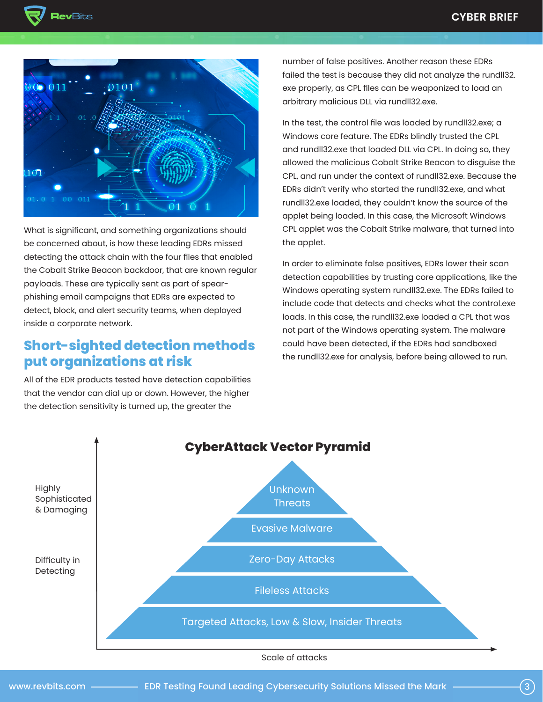



What is significant, and something organizations should be concerned about, is how these leading EDRs missed detecting the attack chain with the four files that enabled the Cobalt Strike Beacon backdoor, that are known regular payloads. These are typically sent as part of spearphishing email campaigns that EDRs are expected to detect, block, and alert security teams, when deployed inside a corporate network.

### **Short-sighted detection methods put organizations at risk**

All of the EDR products tested have detection capabilities that the vendor can dial up or down. However, the higher the detection sensitivity is turned up, the greater the

number of false positives. Another reason these EDRs failed the test is because they did not analyze the rundll32. exe properly, as CPL files can be weaponized to load an arbitrary malicious DLL via rundll32.exe.

In the test, the control file was loaded by rundll32.exe; a Windows core feature. The EDRs blindly trusted the CPL and rundll32.exe that loaded DLL via CPL. In doing so, they allowed the malicious Cobalt Strike Beacon to disguise the CPL, and run under the context of rundll32.exe. Because the EDRs didn't verify who started the rundll32.exe, and what rundll32.exe loaded, they couldn't know the source of the applet being loaded. In this case, the Microsoft Windows CPL applet was the Cobalt Strike malware, that turned into the applet.

In order to eliminate false positives, EDRs lower their scan detection capabilities by trusting core applications, like the Windows operating system rundll32.exe. The EDRs failed to include code that detects and checks what the control.exe loads. In this case, the rundll32.exe loaded a CPL that was not part of the Windows operating system. The malware could have been detected, if the EDRs had sandboxed the rundll32.exe for analysis, before being allowed to run.

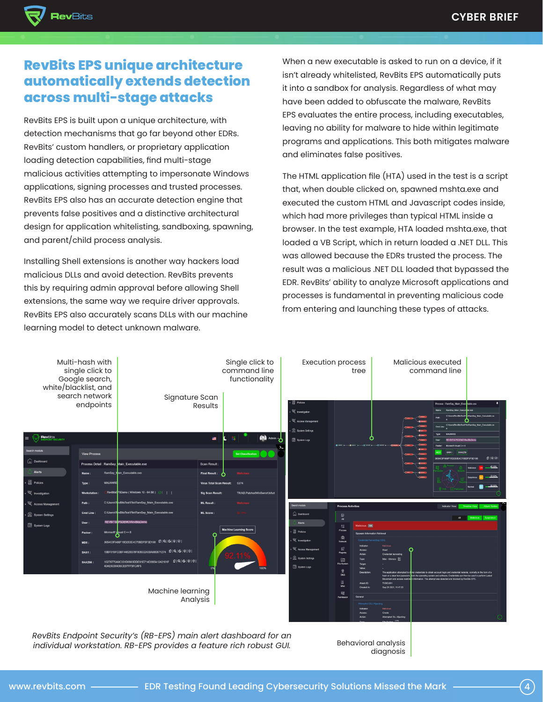

## **RevBits EPS unique architecture automatically extends detection across multi-stage attacks**

RevBits EPS is built upon a unique architecture, with detection mechanisms that go far beyond other EDRs. RevBits' custom handlers, or proprietary application loading detection capabilities, find multi-stage malicious activities attempting to impersonate Windows applications, signing processes and trusted processes. RevBits EPS also has an accurate detection engine that prevents false positives and a distinctive architectural design for application whitelisting, sandboxing, spawning, and parent/child process analysis.

Installing Shell extensions is another way hackers load malicious DLLs and avoid detection. RevBits prevents this by requiring admin approval before allowing Shell extensions, the same way we require driver approvals. RevBits EPS also accurately scans DLLs with our machine learning model to detect unknown malware.

When a new executable is asked to run on a device, if it isn't already whitelisted, RevBits EPS automatically puts it into a sandbox for analysis. Regardless of what may have been added to obfuscate the malware, RevBits EPS evaluates the entire process, including executables, leaving no ability for malware to hide within legitimate programs and applications. This both mitigates malware and eliminates false positives.

The HTML application file (HTA) used in the test is a script that, when double clicked on, spawned mshta.exe and executed the custom HTML and Javascript codes inside, which had more privileges than typical HTML inside a browser. In the test example, HTA loaded mshta.exe, that loaded a VB Script, which in return loaded a .NET DLL. This was allowed because the EDRs trusted the process. The result was a malicious .NET DLL loaded that bypassed the EDR. RevBits' ability to analyze Microsoft applications and processes is fundamental in preventing malicious code from entering and launching these types of attacks.



*RevBits Endpoint Security's (RB-EPS) main alert dashboard for an individual workstation. RB-EPS provides a feature rich robust GUI.*

Behavioral analysis diagnosis